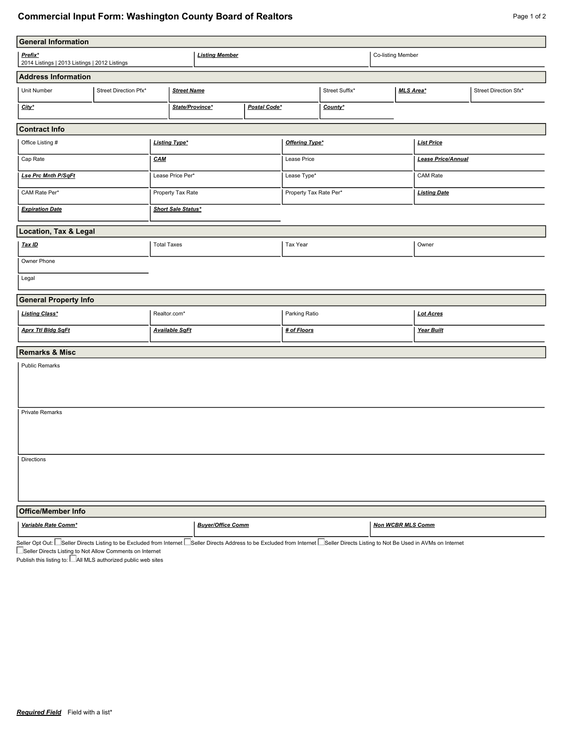## **Commercial Input Form: Washington County Board of Realtors Page 1 of 2** Page 1 of 2

| <b>General Information</b>                               |                       |                           |                          |              |                        |                          |                   |                       |  |  |
|----------------------------------------------------------|-----------------------|---------------------------|--------------------------|--------------|------------------------|--------------------------|-------------------|-----------------------|--|--|
| Prefix*<br>2014 Listings   2013 Listings   2012 Listings |                       |                           | <b>Listing Member</b>    |              |                        |                          |                   | Co-listing Member     |  |  |
| <b>Address Information</b>                               |                       |                           |                          |              |                        |                          |                   |                       |  |  |
| Unit Number                                              | Street Direction Pfx* |                           | <b>Street Name</b>       |              | Street Suffix*         |                          | <b>MLS Area*</b>  | Street Direction Sfx* |  |  |
| City*                                                    |                       | State/Province*           |                          | Postal Code* |                        | County*                  |                   |                       |  |  |
| <b>Contract Info</b>                                     |                       |                           |                          |              |                        |                          |                   |                       |  |  |
| Office Listing #                                         |                       | <b>Listing Type*</b>      |                          |              | Offering Type*         |                          | <b>List Price</b> |                       |  |  |
| Cap Rate                                                 |                       | <b>CAM</b>                |                          |              | Lease Price            |                          |                   | Lease Price/Annual    |  |  |
| <b>Lse Prc Mnth P/SqFt</b>                               |                       | Lease Price Per*          |                          | Lease Type*  |                        |                          | CAM Rate          |                       |  |  |
| CAM Rate Per*                                            |                       | Property Tax Rate         |                          |              | Property Tax Rate Per* |                          |                   | <b>Listing Date</b>   |  |  |
| <b>Expiration Date</b>                                   |                       | <b>Short Sale Status*</b> |                          |              |                        |                          |                   |                       |  |  |
| <b>Location, Tax &amp; Legal</b>                         |                       |                           |                          |              |                        |                          |                   |                       |  |  |
| Tax ID                                                   |                       | <b>Total Taxes</b>        |                          |              | Tax Year               |                          |                   | Owner                 |  |  |
| Owner Phone                                              |                       |                           |                          |              |                        |                          |                   |                       |  |  |
| Legal                                                    |                       |                           |                          |              |                        |                          |                   |                       |  |  |
| <b>General Property Info</b>                             |                       |                           |                          |              |                        |                          |                   |                       |  |  |
| <b>Listing Class*</b>                                    |                       | Realtor.com*              |                          |              | Parking Ratio          |                          |                   | <b>Lot Acres</b>      |  |  |
| <b>Aprx Ttl Bldg SqFt</b>                                |                       | <b>Available SqFt</b>     |                          |              | # of Floors            |                          |                   | Year Built            |  |  |
| <b>Remarks &amp; Misc</b>                                |                       |                           |                          |              |                        |                          |                   |                       |  |  |
| <b>Public Remarks</b>                                    |                       |                           |                          |              |                        |                          |                   |                       |  |  |
| Private Remarks                                          |                       |                           |                          |              |                        |                          |                   |                       |  |  |
| <b>Directions</b>                                        |                       |                           |                          |              |                        |                          |                   |                       |  |  |
| <b>Office/Member Info</b>                                |                       |                           |                          |              |                        |                          |                   |                       |  |  |
| Variable Rate Comm*                                      |                       |                           | <b>Buyer/Office Comm</b> |              |                        | <b>Non WCBR MLS Comm</b> |                   |                       |  |  |

Seller Opt Out: Seller Directs Listing to be Excluded from Internet Seller Directs Address to be Excluded from Internet Seller Directs Listing to Not Be Used in AVMs on Internet

Seller Directs Listing to Not Allow Comments on Internet

Publish this listing to:  $\Box$  All MLS authorized public web sites